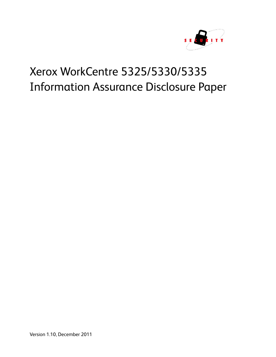

# Xerox WorkCentre 5325/5330/5335 Information Assurance Disclosure Paper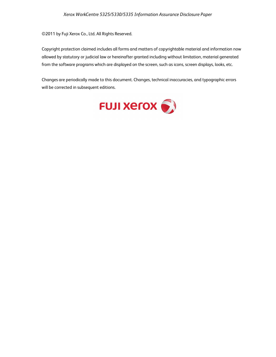©2011 by Fuji Xerox Co., Ltd. All Rights Reserved.

Copyright protection claimed includes all forms and matters of copyrightable material and information now allowed by statutory or judicial law or hereinafter granted including without limitation, material generated from the software programs which are displayed on the screen, such as icons, screen displays, looks, etc.

Changes are periodically made to this document. Changes, technical inaccuracies, and typographic errors will be corrected in subsequent editions.

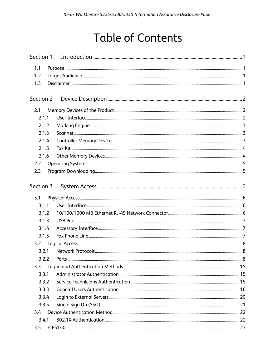# **Table of Contents**

| Section 1 |  |  |
|-----------|--|--|
| 1.1       |  |  |
| 1.2       |  |  |
| 1.3       |  |  |
| Section 2 |  |  |
| 2.1       |  |  |
| 2.1.1     |  |  |
| 2.1.2     |  |  |
| 2.1.3     |  |  |
| 2.1.4     |  |  |
| 2.1.5     |  |  |
| 2.1.6     |  |  |
| 2.2       |  |  |
| 2.3       |  |  |
| Section 3 |  |  |
| 3.1       |  |  |
| 3.1.1     |  |  |
| 3.1.2     |  |  |
| 3.1.3     |  |  |
| 3.1.4     |  |  |
| 3.1.5     |  |  |
| 3.2       |  |  |
| 3.2.1     |  |  |
| 3.2.2     |  |  |
| 3.3       |  |  |
| 3.3.1     |  |  |
| 3.3.2     |  |  |
| 3.3.3     |  |  |
| 3.3.4     |  |  |
| 3.3.5     |  |  |
| 3.4       |  |  |
| 3.4.1     |  |  |
| 3.5       |  |  |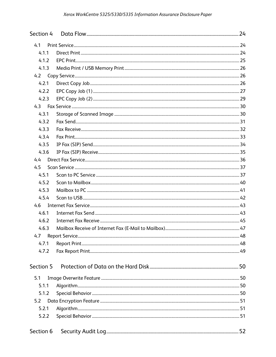| Section 4 |  |
|-----------|--|
| 4.1       |  |
| 4.1.1     |  |
| 4.1.2     |  |
| 4.1.3     |  |
| 4.2       |  |
| 4.2.1     |  |
| 4.2.2     |  |
| 4.2.3     |  |
|           |  |
| 4.3.1     |  |
| 4.3.2     |  |
| 4.3.3     |  |
| 4.3.4     |  |
| 4.3.5     |  |
| 4.3.6     |  |
| 4.4       |  |
| 4.5       |  |
| 4.5.1     |  |
| 4.5.2     |  |
| 4.5.3     |  |
| 4.5.4     |  |
|           |  |
| 4.6.1     |  |
| 4.6.2     |  |
| 4.6.3     |  |
| 4.7       |  |
| 4.7.1     |  |
| 4.7.2     |  |
| Section 5 |  |
| 5.1       |  |
| 5.1.1     |  |
| 5.1.2     |  |
| 5.2       |  |
| 5.2.1     |  |
| 5.2.2     |  |
| Section 6 |  |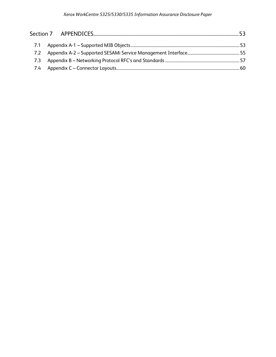| 7.2 |  |
|-----|--|
| 7.3 |  |
|     |  |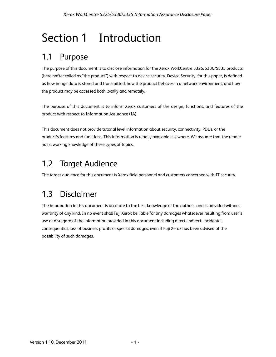# Section 1 Introduction

## 1.1 Purpose

The purpose of this document is to disclose information for the Xerox WorkCentre 5325/5330/5335 products (hereinafter called as "the product") with respect to device security. Device Security, for this paper, is defined as how image data is stored and transmitted, how the product behaves in a network environment, and how the product may be accessed both locally and remotely.

The purpose of this document is to inform Xerox customers of the design, functions, and features of the product with respect to Information Assurance (IA).

This document does not provide tutorial level information about security, connectivity, PDL's, or the product's features and functions. This information is readily available elsewhere. We assume that the reader has a working knowledge of these types of topics.

## 1.2 Target Audience

The target audience for this document is Xerox field personnel and customers concerned with IT security.

## 1.3 Disclaimer

The information in this document is accurate to the best knowledge of the authors, and is provided without warranty of any kind. In no event shall Fuji Xerox be liable for any damages whatsoever resulting from user's use or disregard of the information provided in this document including direct, indirect, incidental, consequential, loss of business profits or special damages, even if Fuji Xerox has been advised of the possibility of such damages.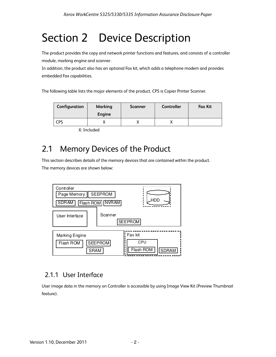# Section 2 Device Description

The product provides the copy and network printer functions and features, and consists of a controller module, marking engine and scanner.

In addition, the product also has an optional Fax kit, which adds a telephone modem and provides embedded Fax capabilities.

The following table lists the major elements of the product. CPS is Copier Printer Scanner.

| Configuration | <b>Marking</b><br>Engine | Scanner | <b>Controller</b> | <b>Fax Kit</b> |
|---------------|--------------------------|---------|-------------------|----------------|
| <b>CPS</b>    |                          |         |                   |                |

X: Included

## 2.1 Memory Devices of the Product

This section describes details of the memory devices that are contained within the product. The memory devices are shown below:



## 2.1.1 User Interface

User image data in the memory on Controller is accessible by using Image View Kit (Preview Thumbnail feature).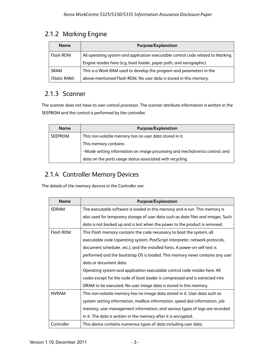## 2.1.2 Marking Engine

| <b>Name</b>  | <b>Purpose/Explanation</b>                                                      |  |
|--------------|---------------------------------------------------------------------------------|--|
| Flash ROM    | All operating system and application executable control code related to Marking |  |
|              | Engine resides here (e.g. boot loader, paper path, and xerographic).            |  |
| <b>SRAM</b>  | This is a Work RAM used to develop the program and parameters in the            |  |
| (Static RAM) | above-mentioned Flash ROM. No user data is stored in this memory.               |  |

## 2.1.3 Scanner

The scanner does not have its own control processor. The scanner attribute information is written in the SEEPROM and the control is performed by the controller.

| <b>Name</b>    | <b>Purpose/Explanation</b>                                                   |  |
|----------------|------------------------------------------------------------------------------|--|
| <b>SEEPROM</b> | This non-volatile memory has no user data stored in it.                      |  |
|                | This memory contains:                                                        |  |
|                | . Mode setting information on image processing and mechatronics control, and |  |
|                | data on the parts usage status associated with recycling.                    |  |

## 2.1.4 Controller Memory Devices

The details of the memory devices in the Controller are:

| <b>Name</b>  | <b>Purpose/Explanation</b>                                                       |
|--------------|----------------------------------------------------------------------------------|
| <b>SDRAM</b> | The executable software is loaded in this memory and is run. This memory is      |
|              | also used for temporary storage of user data such as data files and images. Such |
|              | data is not backed up and is lost when the power to the product is removed.      |
| Flash ROM    | This Flash memory contains the code necessary to boot the system, all            |
|              | executable code (operating system, PostScript interpreter, network protocols,    |
|              | document scheduler, etc.), and the installed fonts. A power-on self-test is      |
|              | performed and the bootstrap OS is loaded. This memory never contains any user    |
|              | data or document data.                                                           |
|              | Operating system and application executable control code resides here. All       |
|              | codes except for the code of boot loader is compressed and is extracted into     |
|              | DRAM to be executed. No user image data is stored in this memory.                |
| <b>NVRAM</b> | This non-volatile memory has no image data stored in it. User data such as       |
|              | system setting information, mailbox information, speed dial information, job     |
|              | memory, user management information, and various types of logs are recorded      |
|              | in it. The data is written in the memory after it is encrypted.                  |
| Controller   | This device contains numerous types of data including user data:                 |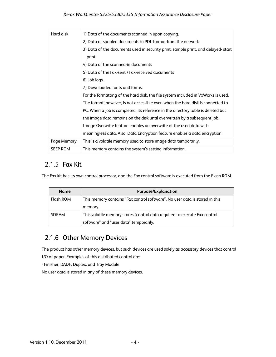| Hard disk       | 1) Data of the documents scanned in upon copying.                                 |
|-----------------|-----------------------------------------------------------------------------------|
|                 | 2) Data of spooled documents in PDL format from the network.                      |
|                 | 3) Data of the documents used in security print, sample print, and delayed-start  |
|                 | print.                                                                            |
|                 | 4) Data of the scanned-in documents                                               |
|                 | 5) Data of the Fax-sent / Fax-received documents                                  |
|                 | 6) Job logs.                                                                      |
|                 | 7) Downloaded fonts and forms.                                                    |
|                 | For the formatting of the hard disk, the file system included in VxWorks is used. |
|                 | The format, however, is not accessible even when the hard disk is connected to    |
|                 | PC. When a job is completed, its reference in the directory table is deleted but  |
|                 | the image data remains on the disk until overwritten by a subsequent job.         |
|                 | Image Overwrite feature enables an overwrite of the used data with                |
|                 | meaningless data. Also, Data Encryption feature enables a data encryption.        |
| Page Memory     | This is a volatile memory used to store image data temporarily.                   |
| <b>SEEP ROM</b> | This memory contains the system's setting information.                            |

## 2.1.5 Fax Kit

The Fax kit has its own control processor, and the Fax control software is executed from the Flash ROM.

| <b>Name</b> | <b>Purpose/Explanation</b>                                                  |
|-------------|-----------------------------------------------------------------------------|
| Flash ROM   | This memory contains "Fax control software". No user data is stored in this |
|             | memory.                                                                     |
| SDRAM       | This volatile memory stores "control data required to execute Fax control   |
|             | software" and "user data" temporarily.                                      |

## 2.1.6 Other Memory Devices

The product has other memory devices, but such devices are used solely as accessory devices that control

I/O of paper. Examples of this distributed control are:

・Finisher, DADF, Duplex, and Tray Module

No user data is stored in any of these memory devices.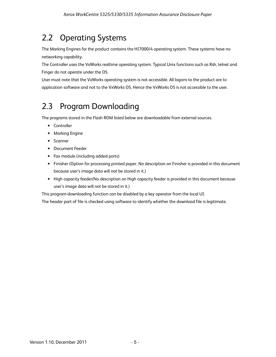## 2.2 Operating Systems

The Marking Engines for the product contains the HI7000/4 operating system. These systems have no networking capability.

The Controller uses the VxWorks realtime operating system. Typical Unix functions such as Rsh, telnet and Finger do not operate under the OS.

User must note that the VxWorks operating system is not accessible. All logons to the product are to application software and not to the VxWorks OS. Hence the VxWorks OS is not accessible to the user.

## 2.3 Program Downloading

The programs stored in the Flash ROM listed below are downloadable from external sources.

- Controller
- Marking Engine
- Scanner
- Document Feeder
- Fax module (including added ports)
- Finisher (Option for processing printed paper. No description on Finisher is provided in this document because user's image data will not be stored in it.)
- High capacity feeder(No description on High capacity feeder is provided in this document because user's image data will not be stored in it.)

This program-downloading function can be disabled by a key operator from the local UI.

The header part of file is checked using software to identify whether the download file is legitimate.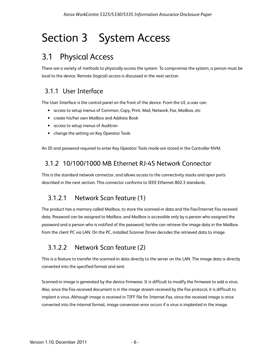# Section 3 System Access

## 3.1 Physical Access

There are a variety of methods to physically access the system. To compromise the system, a person must be local to the device. Remote (logical) access is discussed in the next section.

## 3.1.1 User Interface

The User Interface is the control panel on the front of the device. From the UI, a user can:

- access to setup menus of Common, Copy, Print, Mail, Network, Fax, Mailbox, etc
- create his/her own Mailbox and Address Book
- access to setup menus of Auditron
- change the setting on Key Operator Tools

An ID and password required to enter Key Operator Tools mode are stored in the Controller NVM.

## 3.1.2 10/100/1000 MB Ethernet RJ-45 Network Connector

This is the standard network connector, and allows access to the connectivity stacks and open ports described in the next section. This connector conforms to IEEE Ethernet 802.3 standards.

## 3.1.2.1 Network Scan feature (1)

The product has a memory called Mailbox, to store the scanned-in data and the Fax/Internet Fax received data. Password can be assigned to Mailbox, and Mailbox is accessible only by a person who assigned the password and a person who is notified of the password; he/she can retrieve the image data in the Mailbox from the client PC via LAN. On the PC, installed Scanner Driver decodes the retrieved data to image.

## 3.1.2.2 Network Scan feature (2)

This is a feature to transfer the scanned-in data directly to the server on the LAN. The image data is directly converted into the specified format and sent.

Scanned-in image is generated by the device firmware. It is difficult to modify the firmware to add a virus. Also, since the Fax-received document is in the image stream received by the Fax protocol, it is difficult to implant a virus. Although image is received in TIFF file for Internet-Fax, since the received image is once converted into the internal format, image conversion error occurs if a virus is implanted in the image.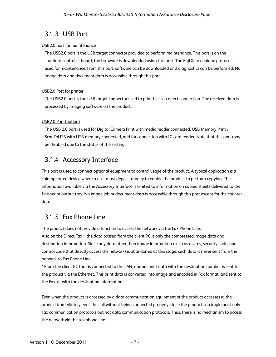## 3.1.3 USB Port

#### USB2.0 port for maintenance

The USB2.0 port is the USB target connector provided to perform maintenance. This port is on the standard controller board; the firmware is downloaded using this port. The Fuji Xerox unique protocol is used for maintenance. From this port, software can be downloaded and diagnostics can be performed. No image data and document data is accessible through this port.

#### USB2.0 Port for printer

The USB2.0 port is the USB target connector used to print files via direct connection. The received data is processed by imaging software on the product.

#### USB2.0 Port (option)

The USB 2.0 port is used for Digital Camera Print with media reader connected, USB Memory Print / ScanToUSB with USB memory connected, and for connection with IC card reader. Note that this port may be disabled due to the status of the setting.

## 3.1.4 Accessory Interface

This port is used to connect optional equipment to control usage of the product. A typical application is a coin-operated device where a user must deposit money to enable the product to perform copying. The information available via the Accessory Interface is limited to information on copied sheets delivered to the finisher or output tray. No image job or document data is accessible through this port except for the counter data.

## 3.1.5 Fax Phone Line

The product does not provide a function to access the network via the Fax Phone Line.

Also on the Direct Fax \*, the data passed from the client PC is only the compressed image data and destination information. Since any data other than image information (such as a virus, security code, and control code that directly access the network) is abandoned at this stage, such data is never sent from the network to Fax Phone Line.

\* From the client PC that is connected to the LAN, normal print data with the destination number is sent to the product via the Ethernet. This print data is converted into image and encoded in Fax format, and sent to the Fax kit with the destination information.

Even when the product is accessed by a data communication equipment or the product accesses it, the product immediately ends the call without being connected properly, since the product can implement only Fax communication protocols but not data communication protocols. Thus, there is no mechanism to access the network via the telephone line.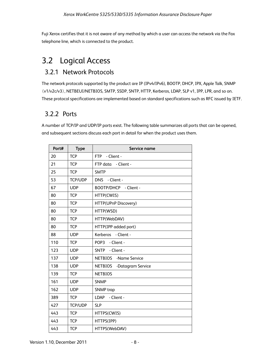Fuji Xerox certifies that it is not aware of any method by which a user can access the network via the Fax telephone line, which is connected to the product.

## 3.2 Logical Access

## 3.2.1 Network Protocols

The network protocols supported by the product are IP (IPv4/IPv6), BOOTP, DHCP, IPX, Apple Talk, SNMP (v1/v2c/v3), NETBEUI/NETBIOS, SMTP, SSDP, SNTP, HTTP, Kerberos, LDAP, SLP v1, IPP, LPR, and so on. These protocol specifications are implemented based on standard specifications such as RFC issued by IETF.

## 3.2.2 Ports

A number of TCP/IP and UDP/IP ports exist. The following table summarizes all ports that can be opened, and subsequent sections discuss each port in detail for when the product uses them.

| Port# | <b>Type</b>    | Service name                        |
|-------|----------------|-------------------------------------|
| 20    | <b>TCP</b>     | FTP<br>- Client -                   |
| 21    | <b>TCP</b>     | FTP data - Client -                 |
| 25    | <b>TCP</b>     | <b>SMTP</b>                         |
| 53    | <b>TCP/UDP</b> | <b>DNS</b><br>- Client -            |
| 67    | <b>UDP</b>     | BOOTP/DHCP - Client -               |
| 80    | <b>TCP</b>     | HTTP(CWIS)                          |
| 80    | <b>TCP</b>     | HTTP(UPnP Discovery)                |
| 80    | <b>TCP</b>     | HTTP(WSD)                           |
| 80    | <b>TCP</b>     | HTTP(WebDAV)                        |
| 80    | <b>TCP</b>     | HTTP(IPP added port)                |
| 88    | <b>UDP</b>     | Kerberos - Client -                 |
| 110   | <b>TCP</b>     | POP <sub>3</sub><br>- Client -      |
| 123   | <b>UDP</b>     | <b>SNTP</b><br>- Client -           |
| 137   | <b>UDP</b>     | <b>NETBIOS</b><br>-Name Service     |
| 138   | <b>UDP</b>     | <b>NETBIOS</b><br>-Datagram Service |
| 139   | <b>TCP</b>     | <b>NETBIOS</b>                      |
| 161   | <b>UDP</b>     | <b>SNMP</b>                         |
| 162   | <b>UDP</b>     | <b>SNMP</b> trap                    |
| 389   | <b>TCP</b>     | LDAP - Client -                     |
| 427   | <b>TCP/UDP</b> | <b>SLP</b>                          |
| 443   | <b>TCP</b>     | HTTPS(CWIS)                         |
| 443   | <b>TCP</b>     | HTTPS(IPP)                          |
| 443   | <b>TCP</b>     | HTTPS(WebDAV)                       |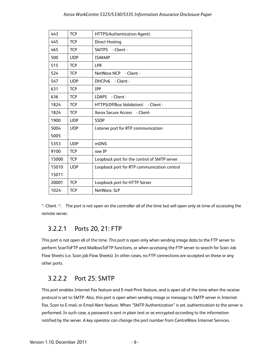| 443   | <b>TCP</b> | HTTPS(Authentication Agent)                  |
|-------|------------|----------------------------------------------|
| 445   | <b>TCP</b> | <b>Direct Hosting</b>                        |
| 465   | <b>TCP</b> | SMTPS - Client -                             |
| 500   | <b>UDP</b> | <b>ISAKMP</b>                                |
| 515   | <b>TCP</b> | <b>LPR</b>                                   |
| 524   | <b>TCP</b> | NetWare NCP - Client -                       |
| 547   | <b>UDP</b> | DHCPv6 - Client -                            |
| 631   | <b>TCP</b> | <b>TPP</b>                                   |
| 636   | <b>TCP</b> | <b>LDAPS</b><br>- Client -                   |
| 1824  | <b>TCP</b> | HTTPS(OffBox Validation) - Client -          |
| 1824  | <b>TCP</b> | Xerox Secure Access - Client-                |
| 1900  | <b>UDP</b> | <b>SSDP</b>                                  |
| 5004  | <b>UDP</b> | Listener port for RTP communication          |
| 5005  |            |                                              |
| 5353  | <b>UDP</b> | <b>mDNS</b>                                  |
| 9100  | <b>TCP</b> | raw IP                                       |
| 15000 | <b>TCP</b> | Loopback port for the control of SMTP server |
| 15010 | <b>UDP</b> | Loopback port for RTP communication control  |
| 15011 |            |                                              |
| 20001 | <b>TCP</b> | Loopback port for HTTP Server                |
| 1024- | <b>TCP</b> | NetWare, SLP                                 |

"- Client -": The port is not open on the controller all of the time but will open only at time of accessing the remote server.

## 3.2.2.1 Ports 20, 21: FTP

This port is not open all of the time. This port is open only when sending image data to the FTP server to perform ScanToFTP and MailboxToFTP functions, or when accessing the FTP server to search for Scan Job Flow Sheets (i.e. Scan job Flow Sheets). In other cases, no FTP connections are accepted on these or any other ports.

## 3.2.2.2 Port 25: SMTP

This port enables Internet Fax feature and E-mail Print feature, and is open all of the time when the receive protocol is set to SMTP. Also, this port is open when sending image or message to SMTP server in Internet Fax, Scan to E-mail, or Email Alert feature. When "SMTP Authentication" is set, authentication to the server is performed. In such case, a password is sent in plain text or as encrypted according to the information notified by the server. A key operator can change the port number from CentreWare Internet Services.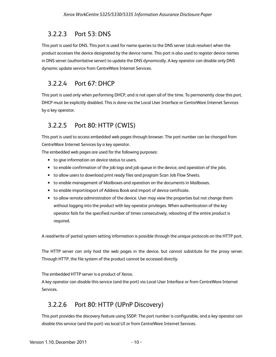## 3.2.2.3 Port 53: DNS

This port is used for DNS. This port is used for name queries to the DNS server (stub resolver) when the product accesses the device designated by the device name. This port is also used to register device names in DNS server (authoritative server) to update the DNS dynamically. A key operator can disable only DNS dynamic update service from CentreWare Internet Services.

## 3.2.2.4 Port 67: DHCP

This port is used only when performing DHCP, and is not open all of the time. To permanently close this port, DHCP must be explicitly disabled. This is done via the Local User Interface or CentreWare Internet Services by a key operator.

## 3.2.2.5 Port 80: HTTP (CWIS)

This port is used to access embedded web pages through browser. The port number can be changed from CentreWare Internet Services by a key operator.

The embedded web pages are used for the following purposes:

- to give information on device status to users.
- to enable confirmation of the job logs and job queue in the device, and operation of the jobs.
- to allow users to download print ready files and program Scan Job Flow Sheets.
- to enable management of Mailboxes and operation on the documents in Mailboxes.
- to enable import/export of Address Book and import of device certificate.
- to allow remote administration of the device. User may view the properties but not change them without logging into the product with key operator privileges. When authentication of the key operator fails for the specified number of times consecutively, rebooting of the entire product is required.

A read/write of partial system setting information is possible through the unique protocols on the HTTP port.

The HTTP server can only host the web pages in the device, but cannot substitute for the proxy server. Through HTTP, the file system of the product cannot be accessed directly.

The embedded HTTP server is a product of Xerox.

A key operator can disable this service (and the port) via Local User Interface or from CentreWare Internet Services.

## 3.2.2.6 Port 80: HTTP (UPnP Discovery)

This port provides the discovery feature using SSDP. The port number is configurable, and a key operator can disable this service (and the port) via local UI or from CentreWare Internet Services.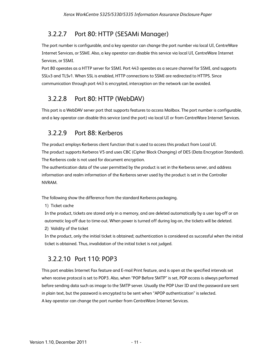## 3.2.2.7 Port 80: HTTP (SESAMi Manager)

The port number is configurable, and a key operator can change the port number via local UI, CentreWare Internet Services, or SSMI. Also, a key operator can disable this service via local UI, CentreWare Internet Services, or SSMI.

Port 80 operates as a HTTP server for SSMI. Port 443 operates as a secure channel for SSMI, and supports SSLv3 and TLSv1. When SSL is enabled, HTTP connections to SSMI are redirected to HTTPS. Since communication through port 443 is encrypted, interception on the network can be avoided.

## 3.2.2.8 Port 80: HTTP (WebDAV)

This port is a WebDAV server port that supports features to access Mailbox. The port number is configurable, and a key operator can disable this service (and the port) via local UI or from CentreWare Internet Services.

## 3.2.2.9 Port 88: Kerberos

The product employs Kerberos client function that is used to access this product from Local UI. The product supports Kerberos V5 and uses CBC (Cipher Block Changing) of DES (Data Encryption Standard). The Kerberos code is not used for document encryption.

The authentication data of the user permitted by the product is set in the Kerberos server, and address information and realm information of the Kerberos server used by the product is set in the Controller NVRAM.

The following show the difference from the standard Kerberos packaging.

1) Ticket cache

In the product, tickets are stored only in a memory, and are deleted automatically by a user log-off or an automatic log-off due to time-out. When power is turned off during log-on, the tickets will be deleted. 2) Validity of the ticket

In the product, only the initial ticket is obtained; authentication is considered as successful when the initial ticket is obtained. Thus, invalidation of the initial ticket is not judged.

## 3.2.2.10 Port 110: POP3

This port enables Internet Fax feature and E-mail Print feature, and is open at the specified intervals set when receive protocol is set to POP3. Also, when "POP Before SMTP" is set, POP access is always performed before sending data such as image to the SMTP server. Usually the POP User ID and the password are sent in plain text, but the password is encrypted to be sent when "APOP authentication" is selected. A key operator can change the port number from CentreWare Internet Services.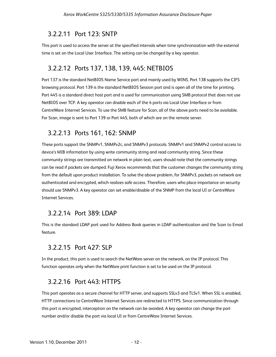### 3.2.2.11 Port 123: SNTP

This port is used to access the server at the specified intervals when time synchronization with the external time is set on the Local User Interface. The setting can be changed by a key operator.

### 3.2.2.12 Ports 137, 138, 139, 445: NETBIOS

Port 137 is the standard NetBIOS Name Service port and mainly used by WINS. Port 138 supports the CIFS browsing protocol. Port 139 is the standard NetBIOS Session port and is open all of the time for printing. Port 445 is a standard direct host port and is used for communication using SMB protocol that does not use NetBIOS over TCP. A key operator can disable each of the 4 ports via Local User Interface or from CentreWare Internet Services. To use the SMB feature for Scan, all of the above ports need to be available. For Scan, image is sent to Port 139 or Port 445, both of which are on the remote server.

### 3.2.2.13 Ports 161, 162: SNMP

These ports support the SNMPv1, SNMPv2c, and SNMPv3 protocols. SNMPv1 and SNMPv2 control access to device's MIB information by using write community string and read community string. Since these community strings are transmitted on network in plain text, users should note that the community strings can be read if packets are dumped. Fuji Xerox recommends that the customer changes the community string from the default upon product installation. To solve the above problem, for SNMPv3, packets on network are authenticated and encrypted, which realizes safe access. Therefore, users who place importance on security should use SNMPv3. A key operator can set enable/disable of the SNMP from the local UI or CentreWare Internet Services.

### 3.2.2.14 Port 389: LDAP

This is the standard LDAP port used for Address Book queries in LDAP authentication and the Scan to Email feature.

## 3.2.2.15 Port 427: SLP

In the product, this port is used to search the NetWare server on the network, on the IP protocol. This function operates only when the NetWare print function is set to be used on the IP protocol.

## 3.2.2.16 Port 443: HTTPS

This port operates as a secure channel for HTTP server, and supports SSLv3 and TLSv1. When SSL is enabled, HTTP connections to CentreWare Internet Services are redirected to HTTPS. Since communication through this port is encrypted, interception on the network can be avoided. A key operator can change the port number and/or disable the port via local UI or from CentreWare Internet Services.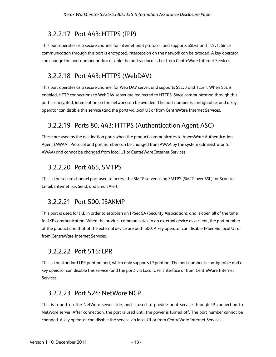## 3.2.2.17 Port 443: HTTPS (IPP)

This port operates as a secure channel for internet print protocol, and supports SSLv3 and TLSv1. Since communication through this port is encrypted, interception on the network can be avoided. A key operator can change the port number and/or disable the port via local UI or from CentreWare Internet Services.

## 3.2.2.18 Port 443: HTTPS (WebDAV)

This port operates as a secure channel for Web DAV server, and supports SSLv3 and TLSv1. When SSL is enabled, HTTP connections to WebDAV server are redirected to HTTPS. Since communication through this port is encrypted, interception on the network can be avoided. The port number is configurable, and a key operator can disable this service (and the port) via local UI or from CentreWare Internet Services.

## 3.2.2.19 Ports 80, 443: HTTPS (Authentication Agent ASC)

These are used as the destination ports when the product communicates to ApeosWare Authentication Agent (AWAA). Protocol and port number can be changed from AWAA by the system administrator (of AWAA) and cannot be changed from local UI or CentreWare Internet Services.

## 3.2.2.20 Port 465, SMTPS

This is the secure channel port used to access the SMTP server using SMTPS (SMTP over SSL) for Scan to Email, Internet Fax Send, and Email Alert.

## 3.2.2.21 Port 500: ISAKMP

This port is used for IKE in order to establish an IPSec SA (Security Association), and is open all of the time for IKE communication. When the product communicates to an external device as a client, the port number of the product and that of the external device are both 500. A key operator can disable IPSec via local UI or from CentreWare Internet Services.

## 3.2.2.22 Port 515: LPR

This is the standard LPR printing port, which only supports IP printing. The port number is configurable and a key operator can disable this service (and the port) via Local User Interface or from CentreWare Internet Services.

## 3.2.2.23 Port 524: NetWare NCP

This is a port on the NetWare server side, and is used to provide print service through IP connection to NetWare server. After connection, the port is used until the power is turned off. The port number cannot be changed. A key operator can disable the service via local UI or from CentreWare Internet Services.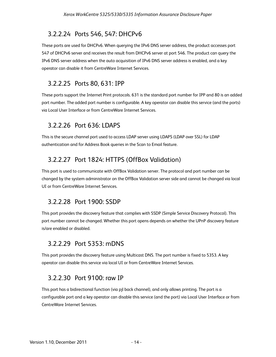## 3.2.2.24 Ports 546, 547: DHCPv6

These ports are used for DHCPv6. When querying the IPv6 DNS server address, the product accesses port 547 of DHCPv6 server and receives the result from DHCPv6 server at port 546. The product can query the IPv6 DNS server address when the auto acquisition of IPv6 DNS server address is enabled, and a key operator can disable it from CentreWare Internet Services.

## 3.2.2.25 Ports 80, 631: IPP

These ports support the Internet Print protocols. 631 is the standard port number for IPP and 80 is an added port number. The added port number is configurable. A key operator can disable this service (and the ports) via Local User Interface or from CentreWare Internet Services.

## 3.2.2.26 Port 636: LDAPS

This is the secure channel port used to access LDAP server using LDAPS (LDAP over SSL) for LDAP authentication and for Address Book queries in the Scan to Email feature.

## 3.2.2.27 Port 1824: HTTPS (OffBox Validation)

This port is used to communicate with OffBox Validation server. The protocol and port number can be changed by the system administrator on the OffBox Validation server side and cannot be changed via local UI or from CentreWare Internet Services.

## 3.2.2.28 Port 1900: SSDP

This port provides the discovery feature that complies with SSDP (Simple Service Discovery Protocol). This port number cannot be changed. Whether this port opens depends on whether the UPnP discovery feature is/are enabled or disabled.

## 3.2.2.29 Port 5353: mDNS

This port provides the discovery feature using Multicast DNS. The port number is fixed to 5353. A key operator can disable this service via local UI or from CentreWare Internet Services.

## 3.2.2.30 Port 9100: raw IP

This port has a bidirectional function (via pjl back channel), and only allows printing. The port is a configurable port and a key operator can disable this service (and the port) via Local User Interface or from CentreWare Internet Services.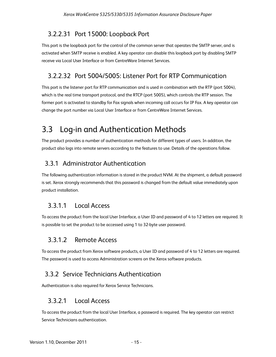## 3.2.2.31 Port 15000: Loopback Port

This port is the loopback port for the control of the common server that operates the SMTP server, and is activated when SMTP receive is enabled. A key operator can disable this loopback port by disabling SMTP receive via Local User Interface or from CentreWare Internet Services.

## 3.2.2.32 Port 5004/5005: Listener Port for RTP Communication

This port is the listener port for RTP communication and is used in combination with the RTP (port 5004), which is the real time transport protocol, and the RTCP (port 5005), which controls the RTP session. The former port is activated to standby for Fax signals when incoming call occurs for IP Fax. A key operator can change the port number via Local User Interface or from CentreWare Internet Services.

## 3.3 Log-in and Authentication Methods

The product provides a number of authentication methods for different types of users. In addition, the product also logs into remote servers according to the features to use. Details of the operations follow.

## 3.3.1 Administrator Authentication

The following authentication information is stored in the product NVM. At the shipment, a default password is set. Xerox strongly recommends that this password is changed from the default value immediately upon product installation.

## 3.3.1.1 Local Access

To access the product from the local User Interface, a User ID and password of 4 to 12 letters are required. It is possible to set the product to be accessed using 1 to 32-byte user password.

## 3.3.1.2 Remote Access

To access the product from Xerox software products, a User ID and password of 4 to 12 letters are required. The password is used to access Administration screens on the Xerox software products.

## 3.3.2 Service Technicians Authentication

Authentication is also required for Xerox Service Technicians.

## 3.3.2.1 Local Access

To access the product from the local User Interface, a password is required. The key operator can restrict Service Technicians authentication.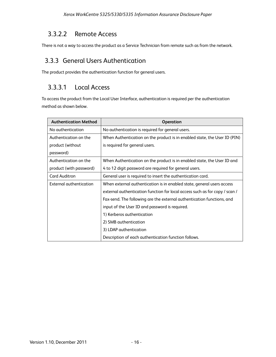### 3.3.2.2 Remote Access

There is not a way to access the product as a Service Technician from remote such as from the network.

### 3.3.3 General Users Authentication

The product provides the authentication function for general users.

## 3.3.3.1 Local Access

To access the product from the Local User Interface, authentication is required per the authentication method as shown below.

| <b>Authentication Method</b> | Operation                                                                   |
|------------------------------|-----------------------------------------------------------------------------|
| No authentication            | No authentication is required for general users.                            |
| Authentication on the        | When Authentication on the product is in enabled state, the User ID (PIN)   |
| product (without             | is required for general users.                                              |
| password)                    |                                                                             |
| Authentication on the        | When Authentication on the product is in enabled state, the User ID and     |
| product (with password)      | 4 to 12 digit password are required for general users.                      |
| <b>Card Auditron</b>         | General user is required to insert the authentication card.                 |
| External authentication      | When external authentication is in enabled state, general users access      |
|                              | external authentication function for local access such as for copy / scan / |
|                              | Fax-send. The following are the external authentication functions, and      |
|                              | input of the User ID and password is required.                              |
|                              | 1) Kerberos authentication                                                  |
|                              | 2) SMB authentication                                                       |
|                              | 3) LDAP authentication                                                      |
|                              | Description of each authentication function follows.                        |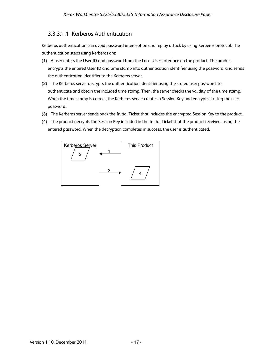### 3.3.3.1.1 Kerberos Authentication

Kerberos authentication can avoid password interception and replay attack by using Kerberos protocol. The authentication steps using Kerberos are:

- (1) A user enters the User ID and password from the Local User Interface on the product. The product encrypts the entered User ID and time stamp into authentication identifier using the password, and sends the authentication identifier to the Kerberos server.
- (2) The Kerberos server decrypts the authentication identifier using the stored user password, to authenticate and obtain the included time stamp. Then, the server checks the validity of the time stamp. When the time stamp is correct, the Kerberos server creates a Session Key and encrypts it using the user password.
- (3) The Kerberos server sends back the Initial Ticket that includes the encrypted Session Key to the product.
- (4) The product decrypts the Session Key included in the Initial Ticket that the product received, using the entered password. When the decryption completes in success, the user is authenticated.

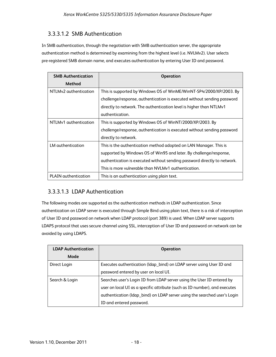### 3.3.3.1.2 SMB Authentication

In SMB authentication, through the negotiation with SMB authentication server, the appropriate authentication method is determined by examining from the highest level (i.e. NVLMv2). User selects pre-registered SMB domain name, and executes authentication by entering User ID and password.

| <b>SMB Authentication</b> | <b>Operation</b>                                                         |
|---------------------------|--------------------------------------------------------------------------|
| Method                    |                                                                          |
| NTLMv2 authentication     | This is supported by Windows OS of WinME/WinNT-SP4/2000/XP/2003. By      |
|                           | challenge/response, authentication is executed without sending password  |
|                           | directly to network. The authentication level is higher than NTLMv1      |
|                           | authentication.                                                          |
| NTLMv1 authentication     | This is supported by Windows OS of WinNT/2000/XP/2003. By                |
|                           | challenge/response, authentication is executed without sending password  |
|                           | directly to network.                                                     |
| LM authentication         | This is the authentication method adopted on LAN Manager. This is        |
|                           | supported by Windows OS of Win95 and later. By challenge/response,       |
|                           | authentication is executed without sending password directly to network. |
|                           | This is more vulnerable than NVLMv1 authentication.                      |
| PLAIN authentication      | This is an authentication using plain text.                              |

### 3.3.3.1.3 LDAP Authentication

The following modes are supported as the authentication methods in LDAP authentication. Since authentication on LDAP server is executed through Simple Bind using plain text, there is a risk of interception of User ID and password on network when LDAP protocol (port 389) is used. When LDAP server supports LDAPS protocol that uses secure channel using SSL, interception of User ID and password on network can be avoided by using LDAPS.

| <b>LDAP Authentication</b> | <b>Operation</b>                                                           |
|----------------------------|----------------------------------------------------------------------------|
| Mode                       |                                                                            |
| Direct Login               | Executes authentication (Idap_bind) on LDAP server using User ID and       |
|                            | password entered by user on local UI.                                      |
| Search & Login             | Searches user's Login ID from LDAP server using the User ID entered by     |
|                            | user on local UI as a specific attribute (such as ID number), and executes |
|                            | authentication (Idap_bind) on LDAP server using the searched user's Login  |
|                            | ID and entered password.                                                   |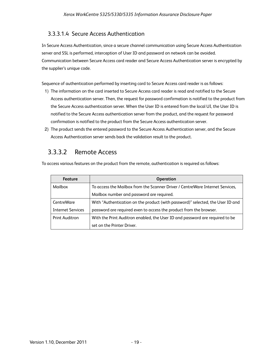### 3.3.3.1.4 Secure Access Authentication

In Secure Access Authentication, since a secure channel communication using Secure Access Authentication server and SSL is performed, interception of User ID and password on network can be avoided. Communication between Secure Access card reader and Secure Access Authentication server is encrypted by the supplier's unique code.

Sequence of authentication performed by inserting card to Secure Access card reader is as follows:

- 1) The information on the card inserted to Secure Access card reader is read and notified to the Secure Access authentication server. Then, the request for password confirmation is notified to the product from the Secure Access authentication server. When the User ID is entered from the local UI, the User ID is notified to the Secure Access authentication server from the product, and the request for password confirmation is notified to the product from the Secure Access authentication server.
- 2) The product sends the entered password to the Secure Access Authentication server, and the Secure Access Authentication server sends back the validation result to the product.

## 3.3.3.2 Remote Access

To access various features on the product from the remote, authentication is required as follows:

| <b>Feature</b>           | <b>Operation</b>                                                               |
|--------------------------|--------------------------------------------------------------------------------|
| Mailbox                  | To access the Mailbox from the Scanner Driver / Centre Ware Internet Services, |
|                          | Mailbox number and password are required.                                      |
| CentreWare               | With "Authentication on the product (with password)" selected, the User ID and |
| <b>Internet Services</b> | password are required even to access the product from the browser.             |
| <b>Print Auditron</b>    | With the Print Auditron enabled, the User ID and password are required to be   |
|                          | set on the Printer Driver.                                                     |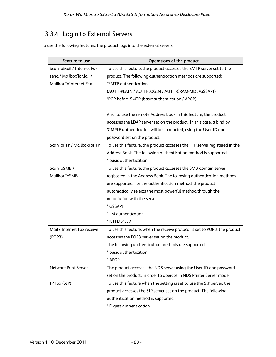## 3.3.4 Login to External Servers

To use the following features, the product logs into the external servers.

| <b>Feature to use</b>       | <b>Operations of the product</b>                                           |
|-----------------------------|----------------------------------------------------------------------------|
| ScanToMail / Internet Fax   | To use this feature, the product accesses the SMTP server set to the       |
| send / MailboxToMail /      | product. The following authentication methods are supported:               |
| MailboxToInternet Fax       | *SMTP authentication                                                       |
|                             | (AUTH-PLAIN / AUTH-LOGIN / AUTH-CRAM-MD5/GSSAPI)                           |
|                             | *POP before SMTP (basic authentication / APOP)                             |
|                             |                                                                            |
|                             | Also, to use the remote Address Book in this feature, the product          |
|                             | accesses the LDAP server set on the product. In this case, a bind by       |
|                             | SIMPLE authentication will be conducted, using the User ID and             |
|                             | password set on the product.                                               |
| ScanToFTP / MailboxToFTP    | To use this feature, the product accesses the FTP server registered in the |
|                             | Address Book. The following authentication method is supported:            |
|                             | * basic authentication                                                     |
| ScanToSMB /                 | To use this feature, the product accesses the SMB domain server            |
| MailboxToSMB                | registered in the Address Book. The following authentication methods       |
|                             | are supported. For the authentication method, the product                  |
|                             | automatically selects the most powerful method through the                 |
|                             | negotiation with the server.                                               |
|                             | * GSSAPI                                                                   |
|                             | * LM authentication                                                        |
|                             | * NTLMv1/v2                                                                |
| Mail / Internet Fax receive | To use this feature, when the receive protocol is set to POP3, the product |
| (POP3)                      | accesses the POP3 server set on the product.                               |
|                             | The following authentication methods are supported:                        |
|                             | * basic authentication                                                     |
|                             | <b>APOP</b>                                                                |
| <b>Netware Print Server</b> | The product accesses the NDS server using the User ID and password         |
|                             | set on the product, in order to operate in NDS Printer Server mode.        |
| IP Fax (SIP)                | To use this feature when the setting is set to use the SIP server, the     |
|                             | product accesses the SIP server set on the product. The following          |
|                             | authentication method is supported:                                        |
|                             | * Digest authentication                                                    |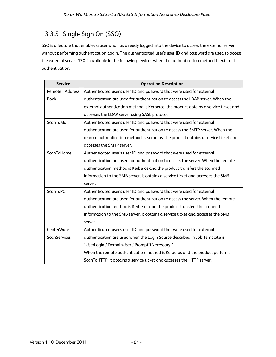## 3.3.5 Single Sign On (SSO)

SSO is a feature that enables a user who has already logged into the device to access the external server without performing authentication again. The authenticated user's user ID and password are used to access the external server. SSO is available in the following services when the authentication method is external authentication.

| <b>Service</b>      | <b>Operation Description</b>                                                         |
|---------------------|--------------------------------------------------------------------------------------|
| Remote Address      | Authenticated user's user ID and password that were used for external                |
| <b>Book</b>         | authentication are used for authentication to access the LDAP server. When the       |
|                     | external authentication method is Kerberos, the product obtains a service ticket and |
|                     | accesses the LDAP server using SASL protocol.                                        |
| ScanToMail          | Authenticated user's user ID and password that were used for external                |
|                     | authentication are used for authentication to access the SMTP server. When the       |
|                     | remote authentication method is Kerberos, the product obtains a service ticket and   |
|                     | accesses the SMTP server.                                                            |
| <b>ScanToHome</b>   | Authenticated user's user ID and password that were used for external                |
|                     | authentication are used for authentication to access the server. When the remote     |
|                     | authentication method is Kerberos and the product transfers the scanned              |
|                     | information to the SMB server, it obtains a service ticket and accesses the SMB      |
|                     | server.                                                                              |
| <b>ScanToPC</b>     | Authenticated user's user ID and password that were used for external                |
|                     | authentication are used for authentication to access the server. When the remote     |
|                     | authentication method is Kerberos and the product transfers the scanned              |
|                     | information to the SMB server, it obtains a service ticket and accesses the SMB      |
|                     | server.                                                                              |
| CenterWare          | Authenticated user's user ID and password that were used for external                |
| <b>ScanServices</b> | authentication are used when the Login Source described in Job Template is           |
|                     | "UserLogin / DomainUser / PromptIfNecessary."                                        |
|                     | When the remote authentication method is Kerberos and the product performs           |
|                     | ScanToHTTP, it obtains a service ticket and accesses the HTTP server.                |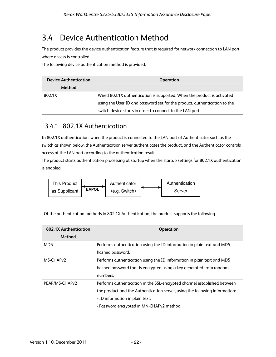## 3.4 Device Authentication Method

The product provides the device authentication feature that is required for network connection to LAN port where access is controlled.

The following device authentication method is provided.

| <b>Device Authentication</b> | <b>Operation</b>                                                          |
|------------------------------|---------------------------------------------------------------------------|
| Method                       |                                                                           |
| 802.1X                       | Wired 802.1X authentication is supported. When the product is activated   |
|                              | using the User ID and password set for the product, authentication to the |
|                              | switch device starts in order to connect to the LAN port.                 |

## 3.4.1 802.1X Authentication

In 802.1X authentication, when the product is connected to the LAN port of Authenticator such as the switch as shown below, the Authentication server authenticates the product, and the Authenticator controls access of the LAN port according to the authentication result.

The product starts authentication processing at startup when the startup settings for 802.1X authentication is enabled.



Of the authentication methods in 802.1X Authentication, the product supports the following.

| 802.1X Authentication | <b>Operation</b>                                                            |
|-----------------------|-----------------------------------------------------------------------------|
| <b>Method</b>         |                                                                             |
| MD <sub>5</sub>       | Performs authentication using the ID information in plain text and MD5      |
|                       | hashed password.                                                            |
| MS-CHAP <sub>v2</sub> | Performs authentication using the ID information in plain text and MD5      |
|                       | hashed password that is encrypted using a key generated from random         |
|                       | numbers.                                                                    |
| PEAP/MS-CHAPv2        | Performs authentication in the SSL-encrypted channel established between    |
|                       | the product and the Authentication server, using the following information: |
|                       | - ID information in plain text.                                             |
|                       | - Password encrypted in MN-CHAPv2 method.                                   |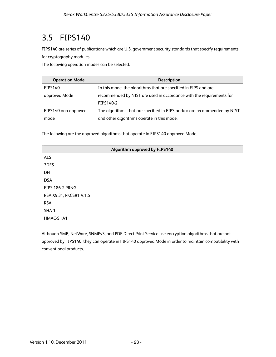## 3.5 FIPS140

FIPS140 are series of publications which are U.S. government security standards that specify requirements for cryptography modules.

The following operation modes can be selected.

| <b>Operation Mode</b> | <b>Description</b>                                                        |
|-----------------------|---------------------------------------------------------------------------|
| <b>FIPS140</b>        | In this mode, the algorithms that are specified in FIPS and are           |
| approved Mode         | recommended by NIST are used in accordance with the requirements for      |
|                       | FIPS140-2.                                                                |
| FIPS140 non-approved  | The algorithms that are specified in FIPS and/or are recommended by NIST, |
| mode                  | and other algorithms operate in this mode.                                |

The following are the approved algorithms that operate in FIPS140 approved Mode.

| Algorithm approved by FIPS140 |  |
|-------------------------------|--|
| <b>AES</b>                    |  |
| 3DES                          |  |
| DH                            |  |
| <b>DSA</b>                    |  |
| FIPS 186-2 PRNG               |  |
| RSA X9.31, PKCS#1 V.1.5       |  |
| <b>RSA</b>                    |  |
| SHA-1                         |  |
| HMAC-SHA1                     |  |

Although SMB, NetWare, SNMPv3, and PDF Direct Print Service use encryption algorithms that are not approved by FIPS140, they can operate in FIPS140 approved Mode in order to maintain compatibility with conventional products.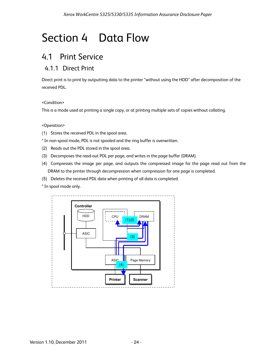# Section 4 Data Flow

## 4.1 Print Service

## 4.1.1 Direct Print

Direct print is to print by outputting data to the printer "without using the HDD" after decomposition of the received PDL.

#### <Condition>

This is a mode used at printing a single copy, or at printing multiple sets of copies without collating.

#### <Operation>

- (1) Stores the received PDL in the spool area.
- \* In non-spool mode, PDL is not spooled and the ring buffer is overwritten.
- (2) Reads out the PDL stored in the spool area.
- (3) Decomposes the read-out PDL per page, and writes in the page buffer (DRAM).
- (4) Compresses the image per page, and outputs the compressed image for the page read out from the DRAM to the printer through decompression when compression for one page is completed.
- (5) Deletes the received PDL data when printing of all data is completed.
- \* In spool mode only.

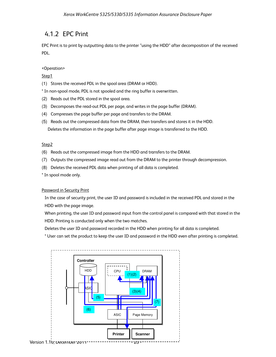### 4.1.2 EPC Print

EPC Print is to print by outputting data to the printer "using the HDD" after decomposition of the received PDL.

#### <Operation>

#### Step1

(1) Stores the received PDL in the spool area (DRAM or HDD).

\* In non-spool mode, PDL is not spooled and the ring buffer is overwritten.

- (2) Reads out the PDL stored in the spool area.
- (3) Decomposes the read-out PDL per page, and writes in the page buffer (DRAM).
- (4) Compresses the page buffer per page and transfers to the DRAM.
- (5) Reads out the compressed data from the DRAM, then transfers and stores it in the HDD.

Deletes the information in the page buffer after page image is transferred to the HDD.

#### Step2

- (6) Reads out the compressed image from the HDD and transfers to the DRAM.
- (7) Outputs the compressed image read out from the DRAM to the printer through decompression.
- (8) Deletes the received PDL data when printing of all data is completed.

\* In spool mode only.

#### Password in Security Print

In the case of security print, the user ID and password is included in the received PDL and stored in the HDD with the page image.

When printing, the user ID and password input from the control panel is compared with that stored in the HDD. Printing is conducted only when the two matches.

Deletes the user ID and password recorded in the HDD when printing for all data is completed.

\* User can set the product to keep the user ID and password in the HDD even after printing is completed.

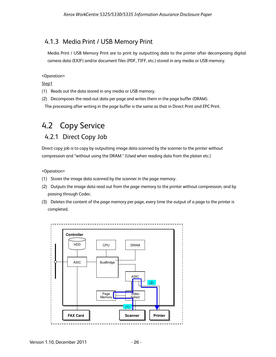## 4.1.3 Media Print / USB Memory Print

 Media Print / USB Memory Print are to print by outputting data to the printer after decomposing digital camera data (EXIF) and/or document files (PDF, TIFF, etc.) stored in any media or USB memory.

#### <Operation>

Step1

- (1) Reads out the data stored in any media or USB memory.
- (2) Decomposes the read-out data per page and writes them in the page buffer (DRAM).

The processing after writing in the page buffer is the same as that in Direct Print and EPC Print.

## 4.2 Copy Service 4.2.1 Direct Copy Job

Direct copy job is to copy by outputting image data scanned by the scanner to the printer without compression and "without using the DRAM." (Used when reading data from the platen etc.)

<Operation>

- (1) Stores the image data scanned by the scanner in the page memory.
- (2) Outputs the image data read out from the page memory to the printer without compression, and by passing through Codec.
- (3) Deletes the content of the page memory per page, every time the output of a page to the printer is completed.

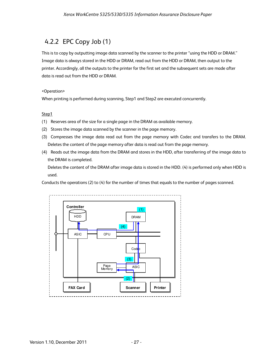## 4.2.2 EPC Copy Job (1)

This is to copy by outputting image data scanned by the scanner to the printer "using the HDD or DRAM." Image data is always stored in the HDD or DRAM, read out from the HDD or DRAM, then output to the printer. Accordingly, all the outputs to the printer for the first set and the subsequent sets are made after data is read out from the HDD or DRAM.

#### <Operation>

When printing is performed during scanning, Step1 and Step2 are executed concurrently.

#### Step1

- (1) Reserves area of the size for a single page in the DRAM as available memory.
- (2) Stores the image data scanned by the scanner in the page memory.
- (3) Compresses the image data read out from the page memory with Codec and transfers to the DRAM. Deletes the content of the page memory after data is read out from the page memory.
- (4) Reads out the image data from the DRAM and stores in the HDD, after transferring of the image data to the DRAM is completed.

Deletes the content of the DRAM after image data is stored in the HDD. (4) is performed only when HDD is used.

Conducts the operations (2) to (4) for the number of times that equals to the number of pages scanned.

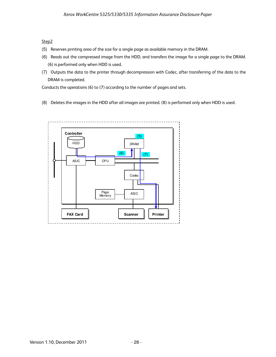#### Step2

- (5) Reserves printing area of the size for a single page as available memory in the DRAM.
- (6) Reads out the compressed image from the HDD, and transfers the image for a single page to the DRAM. (6) is performed only when HDD is used.
- (7) Outputs the data to the printer through decompression with Codec, after transferring of the data to the DRAM is completed.

Conducts the operations (6) to (7) according to the number of pages and sets.

(8) Deletes the images in the HDD after all images are printed. (8) is performed only when HDD is used.

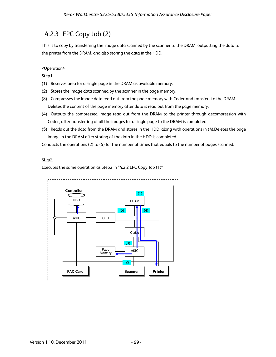## 4.2.3 EPC Copy Job (2)

This is to copy by transferring the image data scanned by the scanner to the DRAM, outputting the data to the printer from the DRAM, and also storing the data in the HDD.

#### <Operation>

Step1

- (1) Reserves area for a single page in the DRAM as available memory.
- (2) Stores the image data scanned by the scanner in the page memory.
- (3) Compresses the image data read out from the page memory with Codec and transfers to the DRAM. Deletes the content of the page memory after data is read out from the page memory.
- (4) Outputs the compressed image read out from the DRAM to the printer through decompression with Codec, after transferring of all the images for a single page to the DRAM is completed.
- (5) Reads out the data from the DRAM and stores in the HDD, along with operations in (4).Deletes the page image in the DRAM after storing of the data in the HDD is completed.

Conducts the operations (2) to (5) for the number of times that equals to the number of pages scanned.

#### Step2

Executes the same operation as Step2 in "4.2.2 EPC Copy Job (1)"

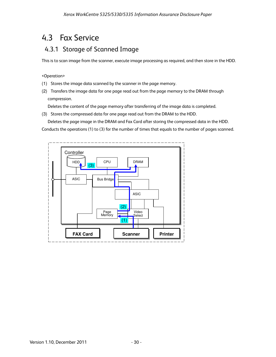## 4.3 Fax Service

## 4.3.1 Storage of Scanned Image

This is to scan image from the scanner, execute image processing as required, and then store in the HDD.

#### <Operation>

- (1) Stores the image data scanned by the scanner in the page memory.
- (2) Transfers the image data for one page read out from the page memory to the DRAM through compression.

Deletes the content of the page memory after transferring of the image data is completed.

(3) Stores the compressed data for one page read out from the DRAM to the HDD.

Deletes the page image in the DRAM and Fax Card after storing the compressed data in the HDD.

Conducts the operations (1) to (3) for the number of times that equals to the number of pages scanned.

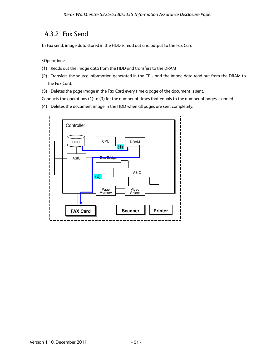## 4.3.2 Fax Send

In Fax send, image data stored in the HDD is read out and output to the Fax Card.

<Operation>

- (1) Reads out the image data from the HDD and transfers to the DRAM
- (2) Transfers the source information generated in the CPU and the image data read out from the DRAM to the Fax Card.
- (3) Deletes the page image in the Fax Card every time a page of the document is sent.

Conducts the operations (1) to (3) for the number of times that equals to the number of pages scanned.

(4) Deletes the document image in the HDD when all pages are sent completely.

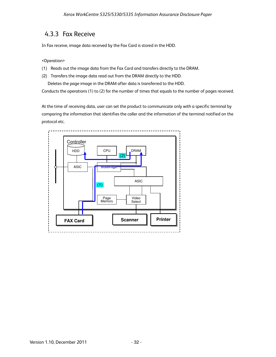## 4.3.3 Fax Receive

In Fax receive, image data received by the Fax Card is stored in the HDD.

<Operation>

- (1) Reads out the image data from the Fax Card and transfers directly to the DRAM.
- (2) Transfers the image data read out from the DRAM directly to the HDD.

Deletes the page image in the DRAM after data is transferred to the HDD.

Conducts the operations (1) to (2) for the number of times that equals to the number of pages received.

At the time of receiving data, user can set the product to communicate only with a specific terminal by comparing the information that identifies the caller and the information of the terminal notified on the protocol etc.

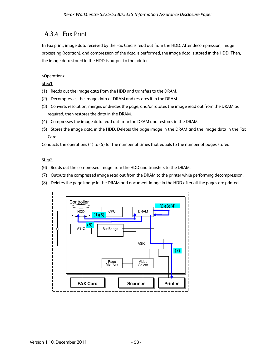## 4.3.4 Fax Print

In Fax print, image data received by the Fax Card is read out from the HDD. After decompression, image processing (rotation), and compression of the data is performed, the image data is stored in the HDD. Then, the image data stored in the HDD is output to the printer.

#### <Operation>

Step1

- (1) Reads out the image data from the HDD and transfers to the DRAM.
- (2) Decompresses the image data of DRAM and restores it in the DRAM.
- (3) Converts resolution, merges or divides the page, and/or rotates the image read out from the DRAM as required, then restores the data in the DRAM.
- (4) Compresses the image data read out from the DRAM and restores in the DRAM.
- (5) Stores the image data in the HDD. Deletes the page image in the DRAM and the image data in the Fax Card.

Conducts the operations (1) to (5) for the number of times that equals to the number of pages stored.

#### Step2

- (6) Reads out the compressed image from the HDD and transfers to the DRAM.
- (7) Outputs the compressed image read out from the DRAM to the printer while performing decompression.
- (8) Deletes the page image in the DRAM and document image in the HDD after all the pages are printed.

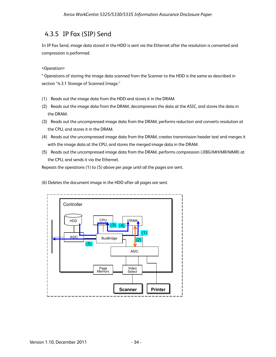## 4.3.5 IP Fax (SIP) Send

In IP Fax Send, image data stored in the HDD is sent via the Ethernet after the resolution is converted and compression is performed.

#### <Operation>

\* Operations of storing the image data scanned from the Scanner to the HDD is the same as described in section "4.3.1 Storage of Scanned Image."

- (1) Reads out the image data from the HDD and stores it in the DRAM.
- (2) Reads out the image data from the DRAM, decompresses the data at the ASIC, and stores the data in the DRAM.
- (3) Reads out the uncompressed image data from the DRAM, performs reduction and converts resolution at the CPU, and stores it in the DRAM.
- (4) Reads out the uncompressed image data from the DRAM, creates transmission header text and merges it with the image data at the CPU, and stores the merged image data in the DRAM.
- (5) Reads out the uncompressed image data from the DRAM, performs compression (JIBG/MH/MR/MMR) at the CPU, and sends it via the Ethernet.

Repeats the operations (1) to (5) above per page until all the pages are sent.

(6) Deletes the document image in the HDD after all pages are sent.

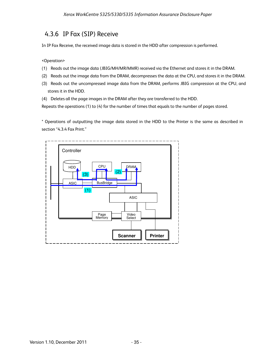## 4.3.6 IP Fax (SIP) Receive

In IP Fax Receive, the received image data is stored in the HDD after compression is performed.

<Operation>

- (1) Reads out the image data (JBIG/MH/MR/MMR) received via the Ethernet and stores it in the DRAM.
- (2) Reads out the image data from the DRAM, decompresses the data at the CPU, and stores it in the DRAM.
- (3) Reads out the uncompressed image data from the DRAM, performs JBIG compression at the CPU, and stores it in the HDD.
- (4) Deletes all the page images in the DRAM after they are transferred to the HDD.

Repeats the operations (1) to (4) for the number of times that equals to the number of pages stored.

\* Operations of outputting the image data stored in the HDD to the Printer is the same as described in section "4.3.4 Fax Print."

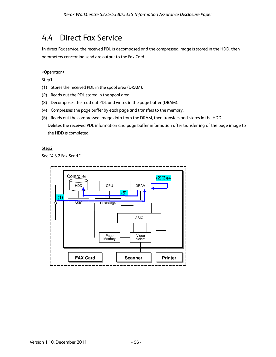## 4.4 Direct Fax Service

In direct Fax service, the received PDL is decomposed and the compressed image is stored in the HDD, then parameters concerning send are output to the Fax Card.

<Operation>

Step1

- (1) Stores the received PDL in the spool area (DRAM).
- (2) Reads out the PDL stored in the spool area.
- (3) Decomposes the read out PDL and writes in the page buffer (DRAM).
- (4) Compresses the page buffer by each page and transfers to the memory.
- (5) Reads out the compressed image data from the DRAM, then transfers and stores in the HDD. Deletes the received PDL information and page buffer information after transferring of the page image to the HDD is completed.

#### Step2

See "4.3.2 Fax Send."

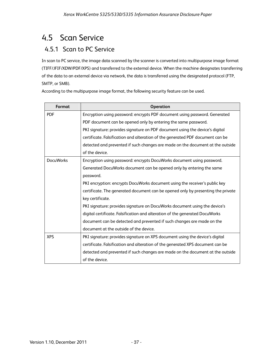## 4.5 Scan Service

## 4.5.1 Scan to PC Service

In scan to PC service, the image data scanned by the scanner is converted into multipurpose image format (TIFF/JFIF/XDW/PDF/XPS) and transferred to the external device. When the machine designates transferring of the data to an external device via network, the data is transferred using the designated protocol (FTP, SMTP, or SMB).

| Format           | <b>Operation</b>                                                                 |
|------------------|----------------------------------------------------------------------------------|
| <b>PDF</b>       | Encryption using password: encrypts PDF document using password. Generated       |
|                  | PDF document can be opened only by entering the same password.                   |
|                  | PKI signature: provides signature on PDF document using the device's digital     |
|                  | certificate. Falsification and alteration of the generated PDF document can be   |
|                  | detected and prevented if such changes are made on the document at the outside   |
|                  | of the device.                                                                   |
| <b>DocuWorks</b> | Encryption using password: encrypts DocuWorks document using password.           |
|                  | Generated DocuWorks document can be opened only by entering the same             |
|                  | password.                                                                        |
|                  | PKI encryption: encrypts DocuWorks document using the receiver's public key      |
|                  | certificate. The generated document can be opened only by presenting the private |
|                  | key certificate.                                                                 |
|                  | PKI signature: provides signature on DocuWorks document using the device's       |
|                  | digital certificate. Falsification and alteration of the generated DocuWorks     |
|                  | document can be detected and prevented if such changes are made on the           |
|                  | document at the outside of the device.                                           |
| <b>XPS</b>       | PKI signature: provides signature on XPS document using the device's digital     |
|                  | certificate. Falsification and alteration of the generated XPS document can be   |
|                  | detected and prevented if such changes are made on the document at the outside   |
|                  | of the device.                                                                   |

According to the multipurpose image format, the following security feature can be used.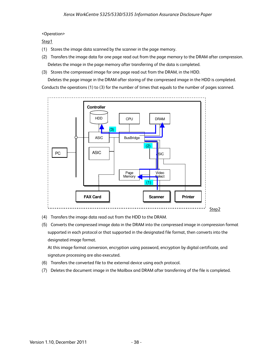#### <Operation>

#### Step1

- (1) Stores the image data scanned by the scanner in the page memory.
- (2) Transfers the image data for one page read out from the page memory to the DRAM after compression. Deletes the image in the page memory after transferring of the data is completed.
- (3) Stores the compressed image for one page read out from the DRAM, in the HDD.

Deletes the page image in the DRAM after storing of the compressed image in the HDD is completed. Conducts the operations (1) to (3) for the number of times that equals to the number of pages scanned.



- (4) Transfers the image data read out from the HDD to the DRAM.
- (5) Converts the compressed image data in the DRAM into the compressed image in compression format supported in each protocol or that supported in the designated file format, then converts into the designated image format.

At this image format conversion, encryption using password, encryption by digital certificate, and signature processing are also executed.

- (6) Transfers the converted file to the external device using each protocol.
- (7) Deletes the document image in the Mailbox and DRAM after transferring of the file is completed.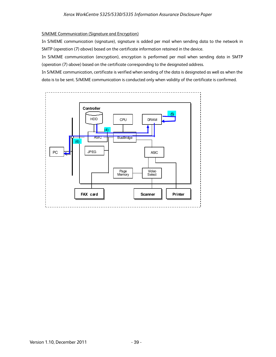#### S/MIME Communication (Signature and Encryption)

In S/MIME communication (signature), signature is added per mail when sending data to the network in SMTP (operation (7) above) based on the certificate information retained in the device.

In S/MIME communication (encryption), encryption is performed per mail when sending data in SMTP (operation (7) above) based on the certificate corresponding to the designated address.

In S/MIME communication, certificate is verified when sending of the data is designated as well as when the data is to be sent. S/MIME communication is conducted only when validity of the certificate is confirmed.

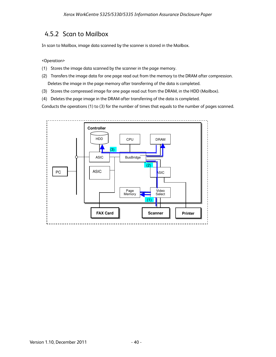## 4.5.2 Scan to Mailbox

In scan to Mailbox, image data scanned by the scanner is stored in the Mailbox.

<Operation>

- (1) Stores the image data scanned by the scanner in the page memory.
- (2) Transfers the image data for one page read out from the memory to the DRAM after compression. Deletes the image in the page memory after transferring of the data is completed.
- (3) Stores the compressed image for one page read out from the DRAM, in the HDD (Mailbox).
- (4) Deletes the page image in the DRAM after transferring of the data is completed.

Conducts the operations (1) to (3) for the number of times that equals to the number of pages scanned.

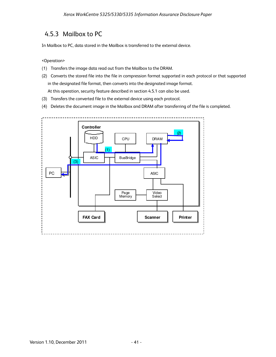## 4.5.3 Mailbox to PC

In Mailbox to PC, data stored in the Mailbox is transferred to the external device.

<Operation>

- (1) Transfers the image data read out from the Mailbox to the DRAM.
- (2) Converts the stored file into the file in compression format supported in each protocol or that supported in the designated file format, then converts into the designated image format.

At this operation, security feature described in section 4.5.1 can also be used.

- (3) Transfers the converted file to the external device using each protocol.
- (4) Deletes the document image in the Mailbox and DRAM after transferring of the file is completed.

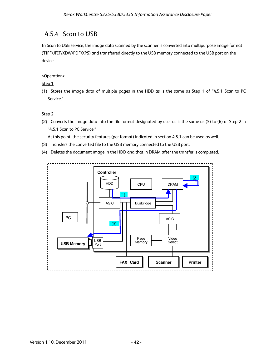## 4.5.4 Scan to USB

In Scan to USB service, the image data scanned by the scanner is converted into multipurpose image format (TIFF/JFIF/XDW/PDF/XPS) and transferred directly to the USB memory connected to the USB port on the device.

#### <Operation>

#### Step 1

(1) Stores the image data of multiple pages in the HDD as is the same as Step 1 of "4.5.1 Scan to PC Service."

#### Step 2

(2) Converts the image data into the file format designated by user as is the same as (5) to (6) of Step 2 in "4.5.1 Scan to PC Service."

At this point, the security features (per format) indicated in section 4.5.1 can be used as well.

- (3) Transfers the converted file to the USB memory connected to the USB port.
- (4) Deletes the document image in the HDD and that in DRAM after the transfer is completed.

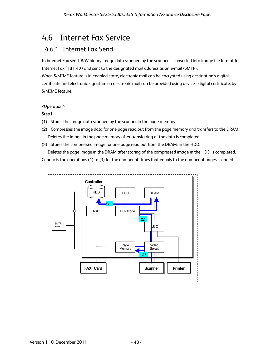## 4.6 Internet Fax Service

## 4.6.1 Internet Fax Send

In internet Fax send, B/W binary image data scanned by the scanner is converted into image file format for Internet Fax (TIFF-FX) and sent to the designated mail address as an e-mail (SMTP).

When S/MIME feature is in enabled state, electronic mail can be encrypted using destination's digital certificate and electronic signature on electronic mail can be provided using device's digital certificate, by S/MIME feature.

#### <Operation>

#### Step1

- (1) Stores the image data scanned by the scanner in the page memory.
- (2) Compresses the image data for one page read out from the page memory and transfers to the DRAM. Deletes the image in the page memory after transferring of the data is completed.
- (3) Stores the compressed image for one page read out from the DRAM, in the HDD.

Deletes the page image in the DRAM after storing of the compressed image in the HDD is completed. Conducts the operations (1) to (3) for the number of times that equals to the number of pages scanned.

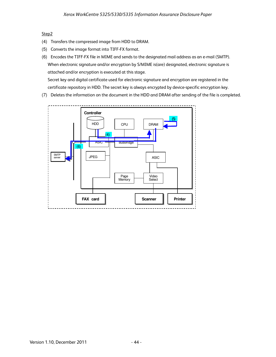#### Step<sub>2</sub>

- (4) Transfers the compressed image from HDD to DRAM.
- (5) Converts the image format into TIFF-FX format.
- (6) Encodes the TIFF-FX file in MIME and sends to the designated mail address as an e-mail (SMTP). When electronic signature and/or encryption by S/MIME is(are) designated, electronic signature is attached and/or encryption is executed at this stage.

Secret key and digital certificate used for electronic signature and encryption are registered in the certificate repository in HDD. The secret key is always encrypted by device-specific encryption key.

(7) Deletes the information on the document in the HDD and DRAM after sending of the file is completed.

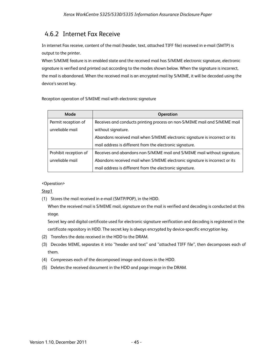## 4.6.2 Internet Fax Receive

In internet Fax receive, content of the mail (header, text, attached TIFF file) received in e-mail (SMTP) is output to the printer.

When S/MIME feature is in enabled state and the received mail has S/MIME electronic signature, electronic signature is verified and printed out according to the modes shown below. When the signature is incorrect, the mail is abandoned. When the received mail is an encrypted mail by S/MIME, it will be decoded using the device's secret key.

Reception operation of S/MIME mail with electronic signature

| Mode                  | <b>Operation</b>                                                            |
|-----------------------|-----------------------------------------------------------------------------|
| Permit reception of   | Receives and conducts printing process on non-S/MIME mail and S/MIME mail   |
| unreliable mail       | without signature.                                                          |
|                       | Abandons received mail when S/MIME electronic signature is incorrect or its |
|                       | mail address is different from the electronic signature.                    |
| Prohibit reception of | Receives and abandons non-S/MIME mail and S/MIME mail without signature.    |
| unreliable mail       | Abandons received mail when S/MIME electronic signature is incorrect or its |
|                       | mail address is different from the electronic signature.                    |

<Operation>

Step1

(1) Stores the mail received in e-mail (SMTP/POP), in the HDD.

When the received mail is S/MIME mail, signature on the mail is verified and decoding is conducted at this stage.

Secret key and digital certificate used for electronic signature verification and decoding is registered in the certificate repository in HDD. The secret key is always encrypted by device-specific encryption key.

- (2) Transfers the data received in the HDD to the DRAM.
- (3) Decodes MIME, separates it into "header and text" and "attached TIFF file", then decomposes each of them.
- (4) Compresses each of the decomposed image and stores in the HDD.
- (5) Deletes the received document in the HDD and page image in the DRAM.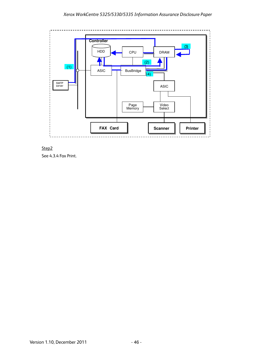



See 4.3.4 Fax Print.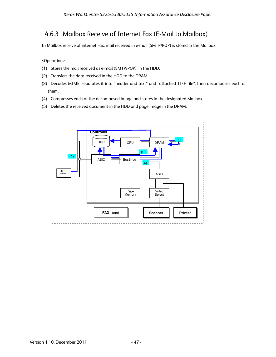## 4.6.3 Mailbox Receive of Internet Fax (E-Mail to Mailbox)

In Mailbox receive of internet Fax, mail received in e-mail (SMTP/POP) is stored in the Mailbox.

<Operation>

- (1) Stores the mail received as e-mail (SMTP/POP), in the HDD.
- (2) Transfers the data received in the HDD to the DRAM.
- (3) Decodes MIME, separates it into "header and text" and "attached TIFF file", then decomposes each of them.
- (4) Compresses each of the decomposed image and stores in the designated Mailbox.
- (5) Deletes the received document in the HDD and page image in the DRAM.

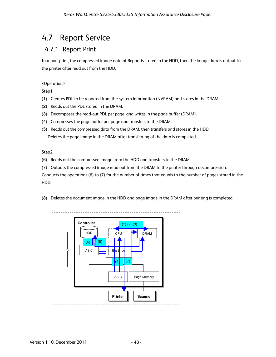## 4.7 Report Service

## 4.7.1 Report Print

In report print, the compressed image data of Report is stored in the HDD, then the image data is output to the printer after read out from the HDD.

#### <Operation>

Step1

- (1) Creates PDL to be reported from the system information (NVRAM) and stores in the DRAM.
- (2) Reads out the PDL stored in the DRAM.
- (3) Decomposes the read-out PDL per page, and writes in the page buffer (DRAM).
- (4) Compresses the page buffer per page and transfers to the DRAM.
- (5) Reads out the compressed data from the DRAM, then transfers and stores in the HDD. Deletes the page image in the DRAM after transferring of the data is completed.

#### Step2

- (6) Reads out the compressed image from the HDD and transfers to the DRAM.
- (7) Outputs the compressed image read out from the DRAM to the printer through decompression.

Conducts the operations (6) to (7) for the number of times that equals to the number of pages stored in the HDD.

(8) Deletes the document image in the HDD and page image in the DRAM after printing is completed.

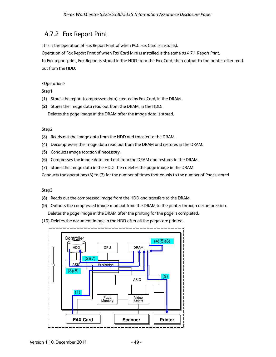### 4.7.2 Fax Report Print

This is the operation of Fax Report Print of when PCC Fax Card is installed.

Operation of Fax Report Print of when Fax Card Mini is installed is the same as 4.7.1 Report Print.

In Fax report print, Fax Report is stored in the HDD from the Fax Card, then output to the printer after read out from the HDD.

#### <Operation>

Step1

- (1) Stores the report (compressed data) created by Fax Card, in the DRAM.
- (2) Stores the image data read out from the DRAM, in the HDD.

Deletes the page image in the DRAM after the image data is stored.

#### Step2

- (3) Reads out the image data from the HDD and transfer to the DRAM.
- (4) Decompresses the image data read out from the DRAM and restores in the DRAM.
- (5) Conducts image rotation if necessary.
- (6) Compresses the image data read out from the DRAM and restores in the DRAM.
- (7) Stores the image data in the HDD, then deletes the page image in the DRAM.

Conducts the operations (3) to (7) for the number of times that equals to the number of Pages stored.

#### Step3

- (8) Reads out the compressed image from the HDD and transfers to the DRAM.
- (9) Outputs the compressed image read out from the DRAM to the printer through decompression. Deletes the page image in the DRAM after the printing for the page is completed.
- (10) Deletes the document image in the HDD after all the pages are printed.

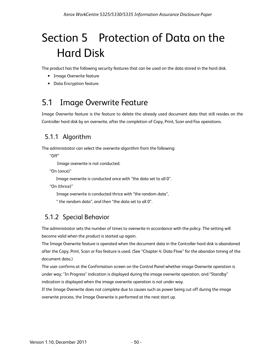# Section 5 Protection of Data on the Hard Disk

The product has the following security features that can be used on the data stored in the hard disk.

- Image Overwrite feature
- Data Encryption feature.

## 5.1 Image Overwrite Feature

Image Overwrite feature is the feature to delete the already used document data that still resides on the Controller hard disk by an overwrite, after the completion of Copy, Print, Scan and Fax operations.

## 5.1.1 Algorithm

The administrator can select the overwrite algorithm from the following:

"Off"

Image overwrite is not conducted.

"On (once)"

Image overwrite is conducted once with "the data set to all 0".

"On (thrice)"

Image overwrite is conducted thrice with "the random data",

" the random data", and then "the data set to all 0".

## 5.1.2 Special Behavior

The administrator sets the number of times to overwrite in accordance with the policy. The setting will become valid when the product is started up again.

The Image Overwrite feature is operated when the document data in the Controller hard disk is abandoned after the Copy, Print, Scan or Fax feature is used. (See "Chapter 4: Data Flow" for the abandon timing of the document data.)

The user confirms at the Confirmation screen on the Control Panel whether image Overwrite operation is under way; "In Progress" indication is displayed during the image overwrite operation, and "Standby" indication is displayed when the image overwrite operation is not under way.

If the Image Overwrite does not complete due to causes such as power being cut off during the image overwrite process, the Image Overwrite is performed at the next start up.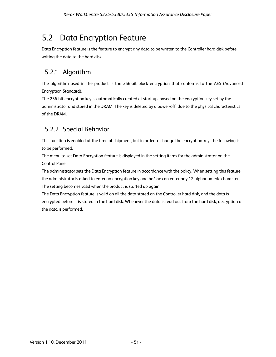## 5.2 Data Encryption Feature

Data Encryption feature is the feature to encrypt any data to be written to the Controller hard disk before writing the data to the hard disk.

## 5.2.1 Algorithm

The algorithm used in the product is the 256-bit block encryption that conforms to the AES (Advanced Encryption Standard).

The 256-bit encryption key is automatically created at start up, based on the encryption key set by the administrator and stored in the DRAM. The key is deleted by a power-off, due to the physical characteristics of the DRAM.

## 5.2.2 Special Behavior

This function is enabled at the time of shipment, but in order to change the encryption key, the following is to be performed.

The menu to set Data Encryption feature is displayed in the setting items for the administrator on the Control Panel.

The administrator sets the Data Encryption feature in accordance with the policy. When setting this feature, the administrator is asked to enter an encryption key and he/she can enter any 12 alphanumeric characters. The setting becomes valid when the product is started up again.

The Data Encryption feature is valid on all the data stored on the Controller hard disk, and the data is encrypted before it is stored in the hard disk. Whenever the data is read out from the hard disk, decryption of the data is performed.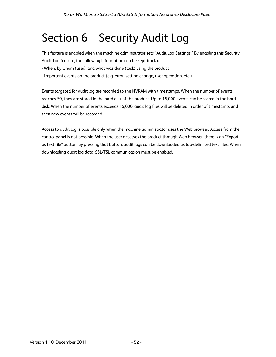# Section 6 Security Audit Log

This feature is enabled when the machine administrator sets "Audit Log Settings." By enabling this Security Audit Log feature, the following information can be kept track of.

- When, by whom (user), and what was done (task) using the product
- Important events on the product (e.g. error, setting change, user operation, etc.)

Events targeted for audit log are recorded to the NVRAM with timestamps. When the number of events reaches 50, they are stored in the hard disk of the product. Up to 15,000 events can be stored in the hard disk. When the number of events exceeds 15,000, audit log files will be deleted in order of timestamp, and then new events will be recorded.

Access to audit log is possible only when the machine administrator uses the Web browser. Access from the control panel is not possible. When the user accesses the product through Web browser, there is an "Export as text file" button. By pressing that button, audit logs can be downloaded as tab-delimited text files. When downloading audit log data, SSL/TSL communication must be enabled.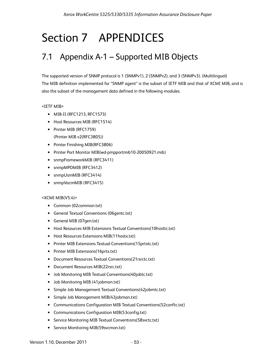# Section 7 APPENDICES

## 7.1 Appendix A-1 – Supported MIB Objects

The supported version of SNMP protocol is 1 (SNMPv1), 2 (SNMPv2), and 3 (SNMPv3). (Multilingual) The MIB definition implemented for "SNMP agent" is the subset of IETF MIB and that of XCMI MIB, and is also the subset of the management data defined in the following modules.

#### <IETF MIB>

- MIB-II (RFC1213, RFC1573)
- Host Resources MIB (RFC1514)
- Printer MIB (RFC1759) (Printer MIB v2(RFC3805))
- Printer Finishing MIB(RFC3806)
- Printer Port Monitor MIB(wd-pmpportmib10-20050921.mib)
- snmpFrameworkMIB (RFC3411)
- snmpMPDMIB (RFC3412)
- snmpUsmMIB (RFC3414)
- snmpVacmMIB (RFC3415)

#### <XCMI MIB(V5.4)>

- Common (02common.txt)
- General Textual Conventions (06gentc.txt)
- General MIB (07gen.txt)
- Host Resources MIB Extensions Textual Conventions(10hosttc.txt)
- Host Resources Extensions MIB(11hostx.txt)
- Printer MIB Extensions Textual Conventions(15prtxtc.txt)
- Printer MIB Extensions(16prtx.txt)
- Document Resources Textual Conventions(21rsrctc.txt)
- Document Resources MIB(22rsrc.txt)
- Job Monitoring MIB Textual Conventions(40jobtc.txt)
- Job Monitoring MIB (41jobmon.txt)
- Simple Job Management Textual Conventions(42jobmtc.txt)
- Simple Job Management MIB(43jobman.txt)
- Communications Configuration MIB Textual Conventions(52conftc.txt)
- Communications Configuration MIB(53config.txt)
- Service Monitoring MIB Textual Conventions(58svctc.txt)
- Service Monitoring MIB(59svcmon.txt)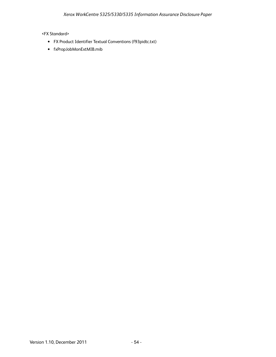#### <FX Standard>

- FX Product Identifier Textual Conventions (f93pidtc.txt)
- fxPropJobMonExtMIB.mib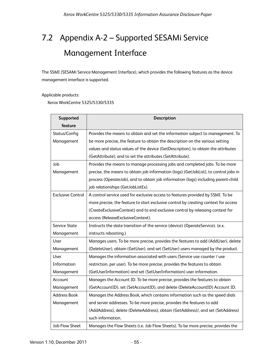# 7.2 Appendix A-2 – Supported SESAMi Service Management Interface

The SSMI (SESAMi Service Management Interface), which provides the following features as the device management interface is supported.

Applicable products:

Xerox WorkCentre 5325/5330/5335

| Supported                | Description                                                                          |
|--------------------------|--------------------------------------------------------------------------------------|
| feature                  |                                                                                      |
| Status/Config            | Provides the means to obtain and set the information subject to management. To       |
| Management               | be more precise, the feature to obtain the description on the various setting        |
|                          | values and status values of the device (GetDescription), to obtain the attributes    |
|                          | (GetAttribute), and to set the attributes (SetAttribute).                            |
| Job                      | Provides the means to manage processing jobs and completed jobs. To be more          |
| Management               | precise, the means to obtain job information (logs) (GetJobList), to control jobs in |
|                          | process (OperateJob), and to obtain job information (logs) including parent-child    |
|                          | job relationships (GetJobListEx).                                                    |
| <b>Exclusive Control</b> | A control service used for exclusive access to features provided by SSMI. To be      |
|                          | more precise, the feature to start exclusive control by creating context for access  |
|                          | (CreateExclusiveContext) and to end exclusive control by releasing context for       |
|                          | access (ReleaseExclusiveContext).                                                    |
| <b>Service State</b>     | Instructs the state transition of the service (device) (OperateService). (e.x.       |
| Management               | instructs rebooting.)                                                                |
| User                     | Manages users. To be more precise, provides the features to add (AddUser), delete    |
| Management               | (DeleteUser), obtain (GetUser), and set (SetUser) users managed by the product.      |
| User                     | Manages the information associated with users (Service use counter / use             |
| Information              | restriction, per user). To be more precise, provides the features to obtain          |
| Management               | (GetUserInformation) and set (SetUserInformation) user information.                  |
| Account                  | Manages the Account ID. To be more precise, provides the features to obtain          |
| Management               | (GetAccountID), set (SetAccountID), and delete (DeleteAccountID) Account ID.         |
| <b>Address Book</b>      | Manages the Address Book, which contains information such as the speed dials         |
| Management               | and server addresses. To be more precise, provides the features to add               |
|                          | (AddAddress), delete (DeleteAddress), obtain (GetAddress)/, and set (SetAddress)     |
|                          | such information.                                                                    |
| <b>Job Flow Sheet</b>    | Manages the Flow Sheets (i.e. Job Flow Sheets). To be more precise, provides the     |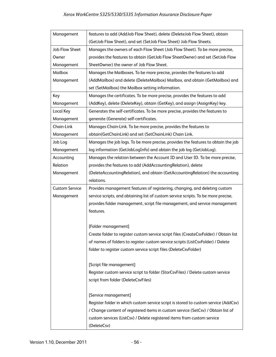| Management            | features to add (AddJob Flow Sheet), delete (DeleteJob Flow Sheet), obtain            |
|-----------------------|---------------------------------------------------------------------------------------|
|                       | (GetJob Flow Sheet), and set (SetJob Flow Sheet) Job Flow Sheets.                     |
| Job Flow Sheet        | Manages the owners of each Flow Sheet (Job Flow Sheet). To be more precise,           |
| Owner                 | provides the features to obtain (GetJob Flow SheetOwner) and set (SetJob Flow         |
| Management            | SheetOwner) the owner of Job Flow Sheet.                                              |
| Mailbox               | Manages the Mailboxes. To be more precise, provides the features to add               |
| Management            | (AddMailbox) and delete (DeleteMailbox) Mailbox, and obtain (GetMailbox) and          |
|                       | set (SetMailbox) the Mailbox setting information.                                     |
| Key                   | Manages the certificates. To be more precise, provides the features to add            |
| Management            | (AddKey), delete (DeleteKey), obtain (GetKey), and assign (AssignKey) key.            |
| Local Key             | Generates the self-certificates. To be more precise, provides the features to         |
| Management            | generate (Generate) self-certificates.                                                |
| Chain-Link            | Manages Chain-Link. To be more precise, provides the features to                      |
| Management            | obtain(GetChainLink) and set (SetChainLink) Chain Link.                               |
| Job Log               | Manages the job logs. To be more precise, provides the features to obtain the job     |
| Management            | log information (GetJobLogInfo) and obtain the job log (GetJobLog).                   |
| Accounting            | Manages the relation between the Account ID and User ID. To be more precise,          |
| Relation              | provides the features to add (AddAccountingRelation), delete                          |
| Management            | (DeleteAccountingRelation), and obtain (GetAccountingRelation) the accounting         |
|                       | relations.                                                                            |
| <b>Custom Service</b> | Provides management features of registering, changing, and deleting custom            |
| Management            | service scripts, and obtaining list of custom service scripts. To be more precise,    |
|                       | provides folder management, script file management, and service management            |
|                       | features.                                                                             |
|                       |                                                                                       |
|                       | [Folder management]                                                                   |
|                       | Create folder to register custom service script files (CreateCsvFolder) / Obtain list |
|                       | of names of folders to register custom service scripts (ListCsvFolder) / Delete       |
|                       | folder to register custom service script files (DeleteCsvFolder)                      |
|                       |                                                                                       |
|                       | [Script file management]                                                              |
|                       | Register custom service script to folder (StorCsvFiles) / Delete custom service       |
|                       | script from folder (DeleteCsvFiles)                                                   |
|                       |                                                                                       |
|                       | [Service management]                                                                  |
|                       | Register folder in which custom service script is stored to custom service (AddCsv)   |
|                       | / Change content of registered items in custom service (SetCsv) / Obtain list of      |
|                       | custom services (ListCsv) / Delete registered items from custom service               |
|                       | (DeleteCsv)                                                                           |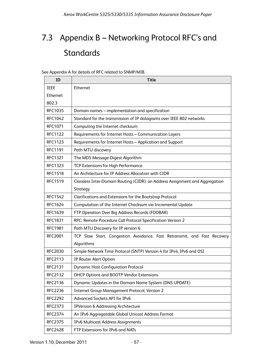# 7.3 Appendix B – Networking Protocol RFC's and **Standards**

See Appendix A for details of RFC related to SNMP/MIB.

| ID             | <b>Title</b>                                                                 |
|----------------|------------------------------------------------------------------------------|
| <b>IEEE</b>    | Ethernet                                                                     |
| Ethernet       |                                                                              |
| 802.3          |                                                                              |
| <b>RFC1035</b> | Domain names - implementation and specification                              |
| <b>RFC1042</b> | Standard for the transmission of IP datagrams over IEEE 802 networks         |
| <b>RFC1071</b> | Computing the Internet checksum                                              |
| <b>RFC1122</b> | Requirements for Internet Hosts - Communication Layers                       |
| <b>RFC1123</b> | Requirements for Internet Hosts - Application and Support                    |
| <b>RFC1191</b> | Path MTU discovery                                                           |
| <b>RFC1321</b> | The MD5 Message-Digest Algorithm                                             |
| <b>RFC1323</b> | TCP Extensions for High Performance                                          |
| <b>RFC1518</b> | An Architecture for IP Address Allocation with CIDR                          |
| <b>RFC1519</b> | Classless Inter-Domain Routing (CIDR): an Address Assignment and Aggregation |
|                | Strategy                                                                     |
| <b>RFC1542</b> | Clarifications and Extensions for the Bootstrap Protocol                     |
| <b>RFC1624</b> | Computation of the Internet Checksum via Incremental Update                  |
| <b>RFC1639</b> | FTP Operation Over Big Address Records (FOOBAR)                              |
| <b>RFC1831</b> | RPC: Remote Procedure Call Protocol Specification Version 2                  |
| <b>RFC1981</b> | Path MTU Discovery for IP version 6                                          |
| <b>RFC2001</b> | TCP Slow Start, Congestion Avoidance, Fast Retransmit, and Fast Recovery     |
|                | Algorithms                                                                   |
| <b>RFC2030</b> | Simple Network Time Protocol (SNTP) Version 4 for IPv4, IPv6 and OSI         |
| <b>RFC2113</b> | IP Router Alert Option                                                       |
| <b>RFC2131</b> | <b>Dynamic Host Configuration Protocol</b>                                   |
| <b>RFC2132</b> | DHCP Options and BOOTP Vendor Extensions                                     |
| <b>RFC2136</b> | Dynamic Updates in the Domain Name System (DNS UPDATE)                       |
| <b>RFC2236</b> | Internet Group Management Protocol, Version 2                                |
| <b>RFC2292</b> | Advanced Sockets API for IPv6                                                |
| <b>RFC2373</b> | <b>IPVersion 6 Addressing Architecture</b>                                   |
| <b>RFC2374</b> | An IPv6 Aggregatable Global Unicast Address Format                           |
| <b>RFC2375</b> | IPv6 Multicast Address Assignments                                           |
| <b>RFC2428</b> | FTP Extensions for IPv6 and NATs                                             |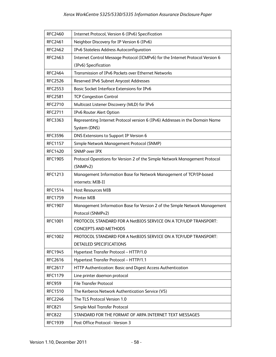| <b>RFC2460</b> | Internet Protocol, Version 6 (IPv6) Specification                              |
|----------------|--------------------------------------------------------------------------------|
| <b>RFC2461</b> | Neighbor Discovery for IP Version 6 (IPv6)                                     |
| <b>RFC2462</b> | IPv6 Stateless Address Autoconfiguration                                       |
| <b>RFC2463</b> | Internet Control Message Protocol (ICMPv6) for the Internet Protocol Version 6 |
|                | (IPv6) Specification                                                           |
| <b>RFC2464</b> | Transmission of IPv6 Packets over Ethernet Networks                            |
| <b>RFC2526</b> | Reserved IPv6 Subnet Anycast Addresses                                         |
| <b>RFC2553</b> | Basic Socket Interface Extensions for IPv6                                     |
| <b>RFC2581</b> | <b>TCP Congestion Control</b>                                                  |
| <b>RFC2710</b> | Multicast Listener Discovery (MLD) for IPv6                                    |
| <b>RFC2711</b> | IPv6 Router Alert Option                                                       |
| <b>RFC3363</b> | Representing Internet Protocol version 6 (IPv6) Addresses in the Domain Name   |
|                | System (DNS)                                                                   |
| <b>RFC3596</b> | DNS Extensions to Support IP Version 6                                         |
| <b>RFC1157</b> | Simple Network Management Protocol (SNMP)                                      |
| <b>RFC1420</b> | <b>SNMP over IPX</b>                                                           |
| <b>RFC1905</b> | Protocol Operations for Version 2 of the Simple Network Management Protocol    |
|                | (SNMPv2)                                                                       |
| <b>RFC1213</b> | Management Information Base for Network Management of TCP/IP-based             |
|                | internets: MIB-II                                                              |
| <b>RFC1514</b> | <b>Host Resources MIB</b>                                                      |
| <b>RFC1759</b> | Printer MIB                                                                    |
| <b>RFC1907</b> | Management Information Base for Version 2 of the Simple Network Management     |
|                | Protocol (SNMPv2)                                                              |
| <b>RFC1001</b> | PROTOCOL STANDARD FOR A NetBIOS SERVICE ON A TCP/UDP TRANSPORT:                |
|                | <b>CONCEPTS AND METHODS</b>                                                    |
| <b>RFC1002</b> | PROTOCOL STANDARD FOR A NetBIOS SERVICE ON A TCP/UDP TRANSPORT:                |
|                | DETAILED SPECIFICATIONS                                                        |
| <b>RFC1945</b> | Hypertext Transfer Protocol -- HTTP/1.0                                        |
| <b>RFC2616</b> | Hypertext Transfer Protocol -- HTTP/1.1                                        |
| <b>RFC2617</b> | HTTP Authentication: Basic and Digest Access Authentication                    |
| <b>RFC1179</b> | Line printer daemon protocol                                                   |
| <b>RFC959</b>  | <b>File Transfer Protocol</b>                                                  |
| <b>RFC1510</b> | The Kerberos Network Authentication Service (V5)                               |
| <b>RFC2246</b> | The TLS Protocol Version 1.0                                                   |
| <b>RFC821</b>  | Simple Mail Transfer Protocol                                                  |
| <b>RFC822</b>  | STANDARD FOR THE FORMAT OF ARPA INTERNET TEXT MESSAGES                         |
| <b>RFC1939</b> | Post Office Protocol - Version 3                                               |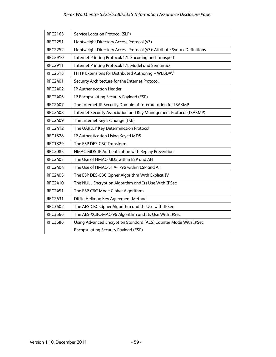| <b>RFC2165</b> | Service Location Protocol (SLP)                                          |
|----------------|--------------------------------------------------------------------------|
| <b>RFC2251</b> | Lightweight Directory Access Protocol (v3)                               |
| <b>RFC2252</b> | Lightweight Directory Access Protocol (v3): Attribute Syntax Definitions |
| <b>RFC2910</b> | Internet Printing Protocol/1.1: Encoding and Transport                   |
| <b>RFC2911</b> | Internet Printing Protocol/1.1: Model and Semantics                      |
| <b>RFC2518</b> | HTTP Extensions for Distributed Authoring -- WEBDAV                      |
| <b>RFC2401</b> | Security Architecture for the Internet Protocol                          |
| <b>RFC2402</b> | <b>IP Authentication Header</b>                                          |
| <b>RFC2406</b> | IP Encapsulating Security Payload (ESP)                                  |
| <b>RFC2407</b> | The Internet IP Security Domain of Interpretation for ISAKMP             |
| <b>RFC2408</b> | Internet Security Association and Key Management Protocol (ISAKMP)       |
| <b>RFC2409</b> | The Internet Key Exchange (IKE)                                          |
| <b>RFC2412</b> | The OAKLEY Key Determination Protocol                                    |
| <b>RFC1828</b> | IP Authentication Using Keyed MD5                                        |
| <b>RFC1829</b> | The ESP DES-CBC Transform                                                |
| <b>RFC2085</b> | HMAC-MD5 IP Authentication with Replay Prevention                        |
| <b>RFC2403</b> | The Use of HMAC-MD5 within ESP and AH                                    |
| <b>RFC2404</b> | The Use of HMAC-SHA-1-96 within ESP and AH                               |
| <b>RFC2405</b> | The ESP DES-CBC Cipher Algorithm With Explicit IV                        |
| <b>RFC2410</b> | The NULL Encryption Algorithm and Its Use With IPSec                     |
| <b>RFC2451</b> | The ESP CBC-Mode Cipher Algorithms                                       |
| <b>RFC2631</b> | Diffie-Hellman Key Agreement Method                                      |
| <b>RFC3602</b> | The AES-CBC Cipher Algorithm and Its Use with IPSec                      |
| <b>RFC3566</b> | The AES-XCBC-MAC-96 Algorithm and Its Use With IPSec                     |
| <b>RFC3686</b> | Using Advanced Encryption Standard (AES) Counter Mode With IPSec         |
|                | <b>Encapsulating Security Payload (ESP)</b>                              |